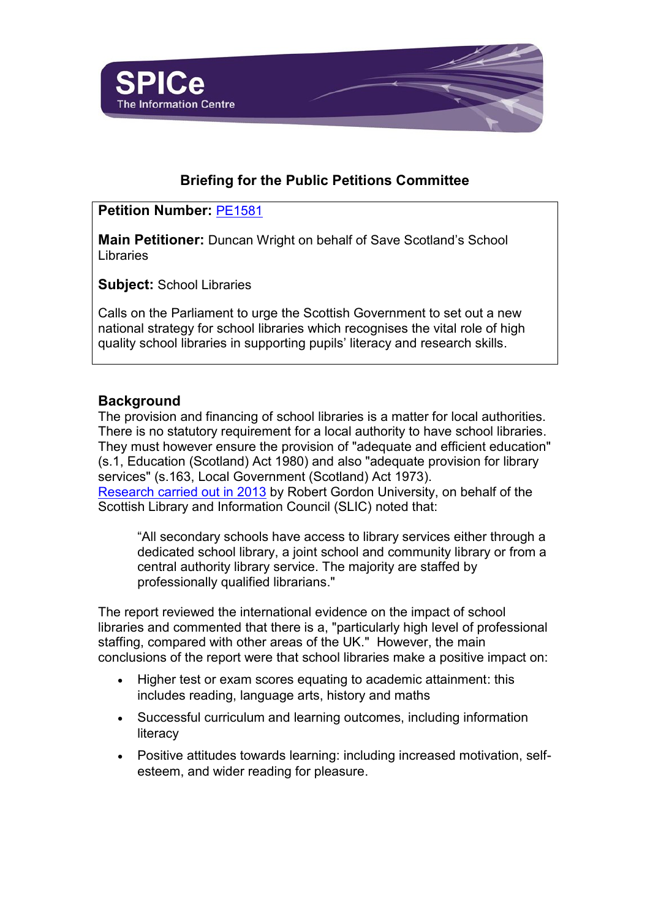

# **Briefing for the Public Petitions Committee**

## **Petition Number:** [PE1581](http://external.scottish.parliament.uk/GettingInvolved/Petitions/SaveScotlandsSchoolLibraries)

**Main Petitioner:** Duncan Wright on behalf of Save Scotland's School Libraries

**Subject:** School Libraries

Calls on the Parliament to urge the Scottish Government to set out a new national strategy for school libraries which recognises the vital role of high quality school libraries in supporting pupils' literacy and research skills.

## **Background**

The provision and financing of school libraries is a matter for local authorities. There is no statutory requirement for a local authority to have school libraries. They must however ensure the provision of "adequate and efficient education" (s.1, Education (Scotland) Act 1980) and also "adequate provision for library services" (s.163, Local Government (Scotland) Act 1973). [Research carried out in 2013](https://www.rgu.ac.uk/research/research-home/research-at-aberdeen-business-school/news/impact-of-school-library-services-on-learning) by Robert Gordon University, on behalf of the Scottish Library and Information Council (SLIC) noted that:

"All secondary schools have access to library services either through a dedicated school library, a joint school and community library or from a central authority library service. The majority are staffed by professionally qualified librarians."

The report reviewed the international evidence on the impact of school libraries and commented that there is a, "particularly high level of professional staffing, compared with other areas of the UK." However, the main conclusions of the report were that school libraries make a positive impact on:

- Higher test or exam scores equating to academic attainment: this includes reading, language arts, history and maths
- Successful curriculum and learning outcomes, including information literacy
- Positive attitudes towards learning: including increased motivation, selfesteem, and wider reading for pleasure.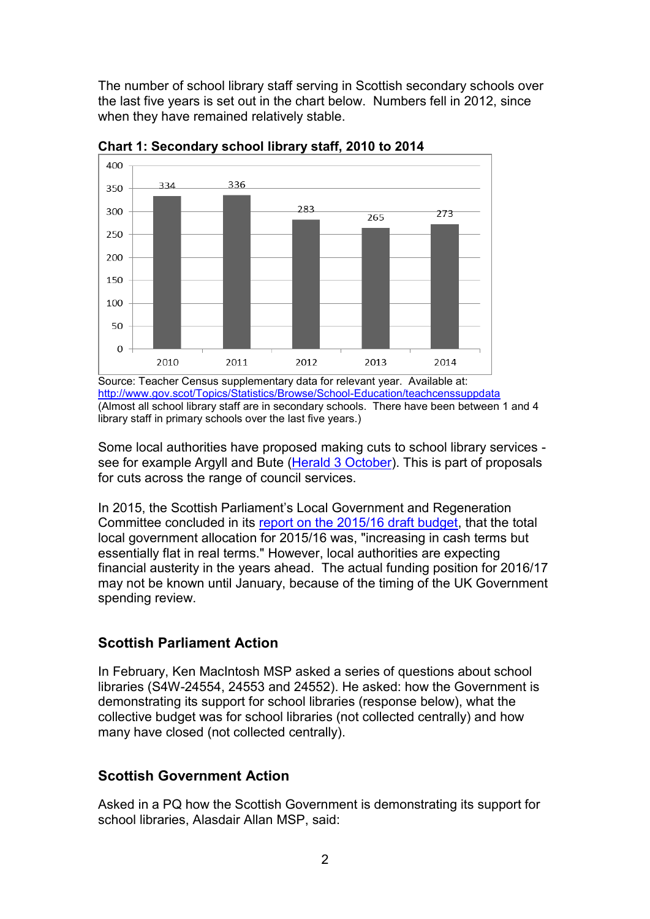The number of school library staff serving in Scottish secondary schools over the last five years is set out in the chart below. Numbers fell in 2012, since when they have remained relatively stable.



**Chart 1: Secondary school library staff, 2010 to 2014**

Source: Teacher Census supplementary data for relevant year. Available at: <http://www.gov.scot/Topics/Statistics/Browse/School-Education/teachcenssuppdata> (Almost all school library staff are in secondary schools. There have been between 1 and 4 library staff in primary schools over the last five years.)

Some local authorities have proposed making cuts to school library services see for example Argyll and Bute [\(Herald 3 October\)](http://www.heraldscotland.com/news/13801294.School_librarians_amongst_those_earmarked_for_Argyll_s_cuts/). This is part of proposals for cuts across the range of council services.

In 2015, the Scottish Parliament's Local Government and Regeneration Committee concluded in its [report on the 2015/16 draft budget,](http://www.scottish.parliament.uk/parliamentarybusiness/CurrentCommittees/85395.aspx#d) that the total local government allocation for 2015/16 was, "increasing in cash terms but essentially flat in real terms." However, local authorities are expecting financial austerity in the years ahead. The actual funding position for 2016/17 may not be known until January, because of the timing of the UK Government spending review.

## **Scottish Parliament Action**

In February, Ken MacIntosh MSP asked a series of questions about school libraries (S4W-24554, 24553 and 24552). He asked: how the Government is demonstrating its support for school libraries (response below), what the collective budget was for school libraries (not collected centrally) and how many have closed (not collected centrally).

## **Scottish Government Action**

Asked in a PQ how the Scottish Government is demonstrating its support for school libraries, Alasdair Allan MSP, said: